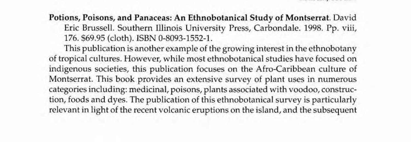Potions, Poisons, and Panaceas: An Ethnobotanical Study of Montserrat. David Eric Brussell. Southern Ulinois University Press, Carbondale. 1998. Pp. viii, 176.569.95 (cloth). ISBN 0-8093-1552-l.

This publication is another example of the growing interest in the ethnobotany of tropical cultures. However, while most ethnobotanical studies have focused on indigenous societies, this publication focuses on the Afro-Caribbean culture of Montserrat. This book provides an extensive survey of plant uses in numerous categories induding: medicinal, poisons, plants associated with voodoo, construction, foods and dyes. The publication of this ethnobotanical survey is particularly relevant in light of the recent volcanic eruptions on the island, and the subsequent